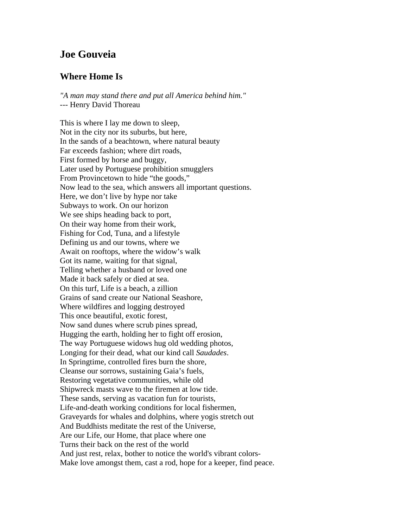## **Joe Gouveia**

## **Where Home Is**

*"A man may stand there and put all America behind him."* --- Henry David Thoreau

This is where I lay me down to sleep, Not in the city nor its suburbs, but here, In the sands of a beachtown, where natural beauty Far exceeds fashion; where dirt roads, First formed by horse and buggy, Later used by Portuguese prohibition smugglers From Provincetown to hide "the goods," Now lead to the sea, which answers all important questions. Here, we don't live by hype nor take Subways to work. On our horizon We see ships heading back to port, On their way home from their work, Fishing for Cod, Tuna, and a lifestyle Defining us and our towns, where we Await on rooftops, where the widow's walk Got its name, waiting for that signal, Telling whether a husband or loved one Made it back safely or died at sea. On this turf, Life is a beach, a zillion Grains of sand create our National Seashore, Where wildfires and logging destroyed This once beautiful, exotic forest, Now sand dunes where scrub pines spread, Hugging the earth, holding her to fight off erosion, The way Portuguese widows hug old wedding photos, Longing for their dead, what our kind call *Saudades*. In Springtime, controlled fires burn the shore, Cleanse our sorrows, sustaining Gaia's fuels, Restoring vegetative communities, while old Shipwreck masts wave to the firemen at low tide. These sands, serving as vacation fun for tourists, Life-and-death working conditions for local fishermen, Graveyards for whales and dolphins, where yogis stretch out And Buddhists meditate the rest of the Universe, Are our Life, our Home, that place where one Turns their back on the rest of the world And just rest, relax, bother to notice the world's vibrant colors-Make love amongst them, cast a rod, hope for a keeper, find peace.